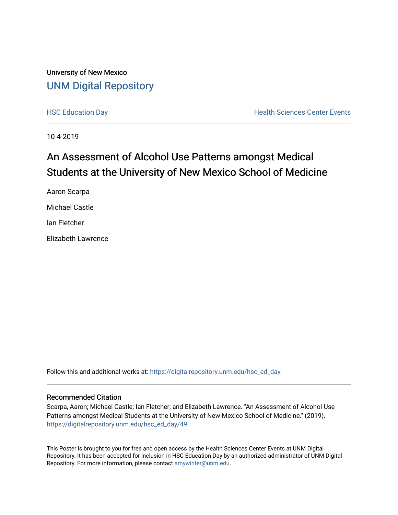### University of New Mexico [UNM Digital Repository](https://digitalrepository.unm.edu/)

[HSC Education Day](https://digitalrepository.unm.edu/hsc_ed_day) **Health Sciences Center Events** 

10-4-2019

### An Assessment of Alcohol Use Patterns amongst Medical Students at the University of New Mexico School of Medicine

Aaron Scarpa Michael Castle Ian Fletcher Elizabeth Lawrence

Follow this and additional works at: [https://digitalrepository.unm.edu/hsc\\_ed\\_day](https://digitalrepository.unm.edu/hsc_ed_day?utm_source=digitalrepository.unm.edu%2Fhsc_ed_day%2F49&utm_medium=PDF&utm_campaign=PDFCoverPages) 

### Recommended Citation

Scarpa, Aaron; Michael Castle; Ian Fletcher; and Elizabeth Lawrence. "An Assessment of Alcohol Use Patterns amongst Medical Students at the University of New Mexico School of Medicine." (2019). [https://digitalrepository.unm.edu/hsc\\_ed\\_day/49](https://digitalrepository.unm.edu/hsc_ed_day/49?utm_source=digitalrepository.unm.edu%2Fhsc_ed_day%2F49&utm_medium=PDF&utm_campaign=PDFCoverPages)

This Poster is brought to you for free and open access by the Health Sciences Center Events at UNM Digital Repository. It has been accepted for inclusion in HSC Education Day by an authorized administrator of UNM Digital Repository. For more information, please contact [amywinter@unm.edu](mailto:amywinter@unm.edu).